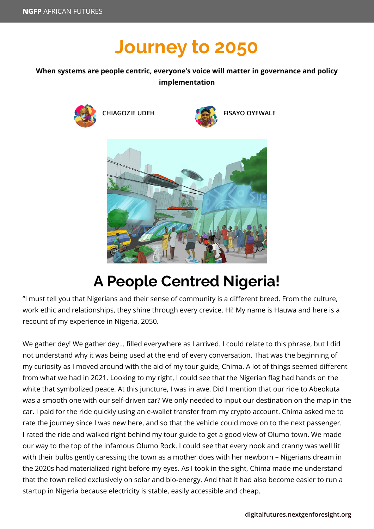## **Journey to 2050**

## **When systems are people centric, everyone's voice will matter in governance and policy implementation**





## **A People Centred Nigeria!**

"I must tell you that Nigerians and their sense of community is a different breed. From the culture, work ethic and relationships, they shine through every crevice. Hi! My name is Hauwa and here is a recount of my experience in Nigeria, 2050.

We gather dey! We gather dey… filled everywhere as I arrived. I could relate to this phrase, but I did not understand why it was being used at the end of every conversation. That was the beginning of my curiosity as I moved around with the aid of my tour guide, Chima. A lot of things seemed different from what we had in 2021. Looking to my right, I could see that the Nigerian flag had hands on the white that symbolized peace. At this juncture, I was in awe. Did I mention that our ride to Abeokuta was a smooth one with our self-driven car? We only needed to input our destination on the map in the car. I paid for the ride quickly using an e-wallet transfer from my crypto account. Chima asked me to rate the journey since I was new here, and so that the vehicle could move on to the next passenger. I rated the ride and walked right behind my tour guide to get a good view of Olumo town. We made our way to the top of the infamous Olumo Rock. I could see that every nook and cranny was well lit with their bulbs gently caressing the town as a mother does with her newborn – Nigerians dream in the 2020s had materialized right before my eyes. As I took in the sight, Chima made me understand that the town relied exclusively on solar and bio-energy. And that it had also become easier to run a startup in Nigeria because electricity is stable, easily accessible and cheap.